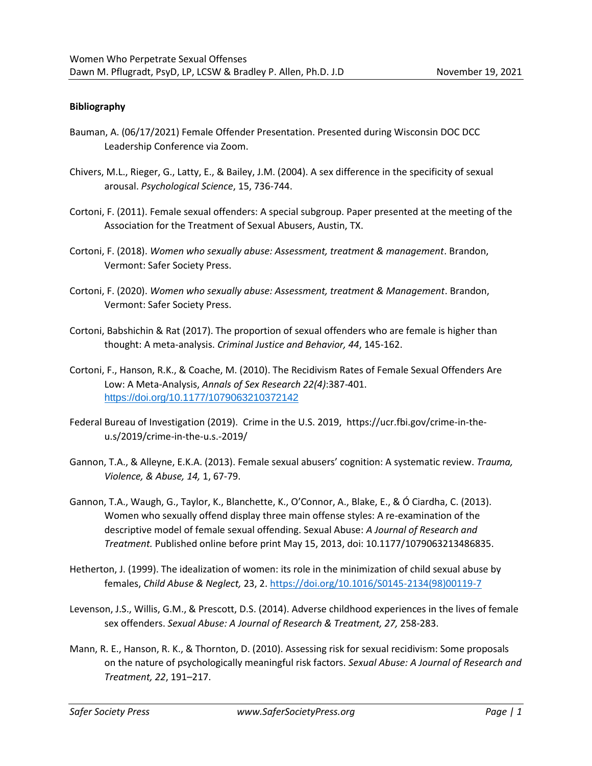## **Bibliography**

- Bauman, A. (06/17/2021) Female Offender Presentation. Presented during Wisconsin DOC DCC Leadership Conference via Zoom.
- Chivers, M.L., Rieger, G., Latty, E., & Bailey, J.M. (2004). A sex difference in the specificity of sexual arousal. *Psychological Science*, 15, 736-744.
- Cortoni, F. (2011). Female sexual offenders: A special subgroup. Paper presented at the meeting of the Association for the Treatment of Sexual Abusers, Austin, TX.
- Cortoni, F. (2018). *Women who sexually abuse: Assessment, treatment & management*. Brandon, Vermont: Safer Society Press.
- Cortoni, F. (2020). *Women who sexually abuse: Assessment, treatment & Management*. Brandon, Vermont: Safer Society Press.
- Cortoni, Babshichin & Rat (2017). The proportion of sexual offenders who are female is higher than thought: A meta-analysis. *Criminal Justice and Behavior, 44*, 145-162.
- Cortoni, F., Hanson, R.K., & Coache, M. (2010). The Recidivism Rates of Female Sexual Offenders Are Low: A Meta-Analysis, *Annals of Sex Research 22(4)*:387-401. [https://doi.org/10.1177/1079063210372142](https://doi.org/10.1177%2F1079063210372142)
- Federal Bureau of Investigation (2019). Crime in the U.S. 2019, https://ucr.fbi.gov/crime-in-theu.s/2019/crime-in-the-u.s.-2019/
- Gannon, T.A., & Alleyne, E.K.A. (2013). Female sexual abusers' cognition: A systematic review. *Trauma, Violence, & Abuse, 14,* 1, 67-79.
- Gannon, T.A., Waugh, G., Taylor, K., Blanchette, K., O'Connor, A., Blake, E., & Ó Ciardha, C. (2013). Women who sexually offend display three main offense styles: A re-examination of the descriptive model of female sexual offending. Sexual Abuse: *A Journal of Research and Treatment.* Published online before print May 15, 2013, doi: 10.1177/1079063213486835.
- Hetherton, J. (1999). The idealization of women: its role in the minimization of child sexual abuse by females, *Child Abuse & Neglect,* 23, 2. [https://doi.org/10.1016/S0145-2134\(98\)00119-7](https://doi.org/10.1016/S0145-2134(98)00119-7)
- Levenson, J.S., Willis, G.M., & Prescott, D.S. (2014). Adverse childhood experiences in the lives of female sex offenders. *Sexual Abuse: A Journal of Research & Treatment, 27,* 258-283.
- Mann, R. E., Hanson, R. K., & Thornton, D. (2010). Assessing risk for sexual recidivism: Some proposals on the nature of psychologically meaningful risk factors. *Sexual Abuse: A Journal of Research and Treatment, 22*, 191–217.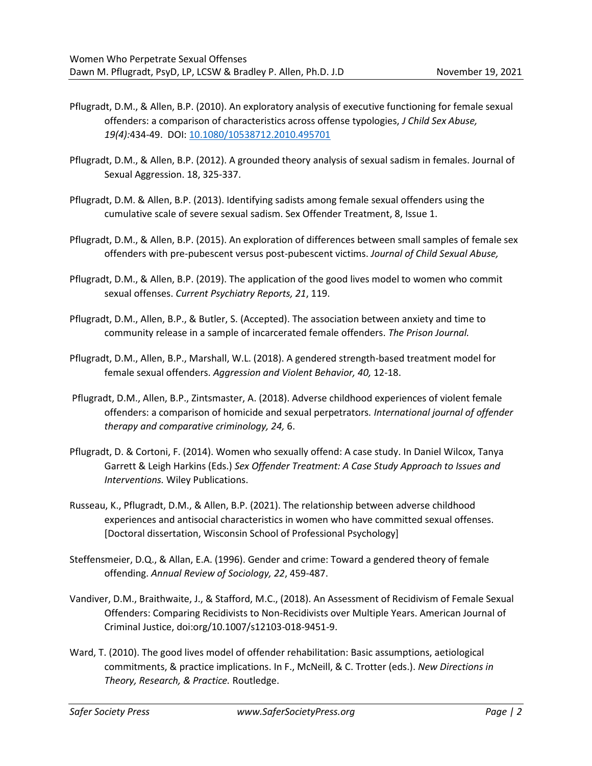- Pflugradt, D.M., & Allen, B.P. (2010). An exploratory analysis of executive functioning for female sexual offenders: a comparison of characteristics across offense typologies, *J Child Sex Abuse, 19(4):*434-49. DOI: [10.1080/10538712.2010.495701](https://doi.org/10.1080/10538712.2010.495701)
- Pflugradt, D.M., & Allen, B.P. (2012). A grounded theory analysis of sexual sadism in females. Journal of Sexual Aggression. 18, 325-337.
- Pflugradt, D.M. & Allen, B.P. (2013). Identifying sadists among female sexual offenders using the cumulative scale of severe sexual sadism. Sex Offender Treatment, 8, Issue 1.
- Pflugradt, D.M., & Allen, B.P. (2015). An exploration of differences between small samples of female sex offenders with pre-pubescent versus post-pubescent victims. *Journal of Child Sexual Abuse,*
- Pflugradt, D.M., & Allen, B.P. (2019). The application of the good lives model to women who commit sexual offenses. *Current Psychiatry Reports, 21*, 119.
- Pflugradt, D.M., Allen, B.P., & Butler, S. (Accepted). The association between anxiety and time to community release in a sample of incarcerated female offenders. *The Prison Journal.*
- Pflugradt, D.M., Allen, B.P., Marshall, W.L. (2018). A gendered strength-based treatment model for female sexual offenders. *Aggression and Violent Behavior, 40,* 12-18.
- Pflugradt, D.M., Allen, B.P., Zintsmaster, A. (2018). Adverse childhood experiences of violent female offenders: a comparison of homicide and sexual perpetrators*. International journal of offender therapy and comparative criminology, 24,* 6.
- Pflugradt, D. & Cortoni, F. (2014). Women who sexually offend: A case study. In Daniel Wilcox, Tanya Garrett & Leigh Harkins (Eds.) *Sex Offender Treatment: A Case Study Approach to Issues and Interventions.* Wiley Publications.
- Russeau, K., Pflugradt, D.M., & Allen, B.P. (2021). The relationship between adverse childhood experiences and antisocial characteristics in women who have committed sexual offenses. [Doctoral dissertation, Wisconsin School of Professional Psychology]
- Steffensmeier, D.Q., & Allan, E.A. (1996). Gender and crime: Toward a gendered theory of female offending. *Annual Review of Sociology, 22*, 459-487.
- Vandiver, D.M., Braithwaite, J., & Stafford, M.C., (2018). An Assessment of Recidivism of Female Sexual Offenders: Comparing Recidivists to Non-Recidivists over Multiple Years. American Journal of Criminal Justice, doi:org/10.1007/s12103-018-9451-9.
- Ward, T. (2010). The good lives model of offender rehabilitation: Basic assumptions, aetiological commitments, & practice implications. In F., McNeill, & C. Trotter (eds.). *New Directions in Theory, Research, & Practice.* Routledge.